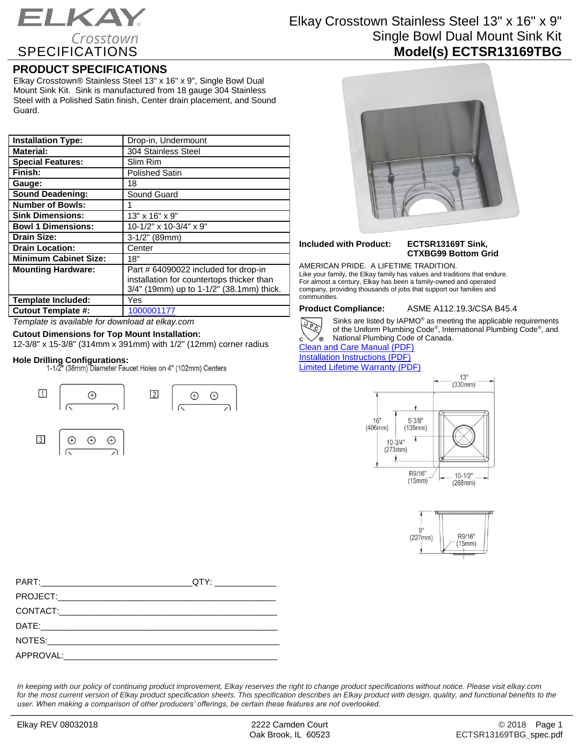## ELKAY. Crosstown SPECIFICATIONS

## Elkay Crosstown Stainless Steel 13" x 16" x 9" Single Bowl Dual Mount Sink Kit **Model(s) ECTSR13169TBG**

## **PRODUCT SPECIFICATIONS**

Elkay Crosstown® Stainless Steel 13" x 16" x 9", Single Bowl Dual Mount Sink Kit. Sink is manufactured from 18 gauge 304 Stainless Steel with a Polished Satin finish, Center drain placement, and Sound Guard.

| <b>Installation Type:</b>    | Drop-in, Undermount                                                                                                           |
|------------------------------|-------------------------------------------------------------------------------------------------------------------------------|
| <b>Material:</b>             | 304 Stainless Steel                                                                                                           |
| <b>Special Features:</b>     | Slim Rim                                                                                                                      |
| Finish:                      | <b>Polished Satin</b>                                                                                                         |
| Gauge:                       | 18                                                                                                                            |
| <b>Sound Deadening:</b>      | Sound Guard                                                                                                                   |
| <b>Number of Bowls:</b>      |                                                                                                                               |
| <b>Sink Dimensions:</b>      | 13" x 16" x 9"                                                                                                                |
| <b>Bowl 1 Dimensions:</b>    | $10-1/2$ " x $10-3/4$ " x 9"                                                                                                  |
| <b>Drain Size:</b>           | $3-1/2"$ (89mm)                                                                                                               |
| <b>Drain Location:</b>       | Center                                                                                                                        |
| <b>Minimum Cabinet Size:</b> | 18"                                                                                                                           |
| <b>Mounting Hardware:</b>    | Part # 64090022 included for drop-in<br>installation for countertops thicker than<br>3/4" (19mm) up to 1-1/2" (38.1mm) thick. |
| <b>Template Included:</b>    | Yes                                                                                                                           |
| <b>Cutout Template #:</b>    | 1000001177                                                                                                                    |

*Template is available for download at elkay.com*

### **Cutout Dimensions for Top Mount Installation:**

12-3/8" x 15-3/8" (314mm x 391mm) with 1/2" (12mm) corner radius

**Hole Drilling Configurations:**





# **Included with Product: ECTSR13169T Sink,**

# **CTXBG99 Bottom Grid**

AMERICAN PRIDE. A LIFETIME TRADITION. Like your family, the Elkay family has values and traditions that endure. For almost a century, Elkay has been a family-owned and operated company, providing thousands of jobs that support our families and communities.

**Product Compliance:** ASME A112.19.3/CSA B45.4



Sinks are listed by IAPMO® as meeting the applicable requirements of the Uniform Plumbing Code® , International Plumbing Code® , and **National Plumbing Code of Canada.** 

[Clean and Care Manual \(PDF\)](http://www.elkay.com/wcsstore/lkdocs/care-cleaning-install-warranty-sheets/residential%20and%20commercial%20care%20%20cleaning.pdf) [Installation Instructions \(PDF\)](http://www.elkay.com/wcsstore/lkdocs/care-cleaning-install-warranty-sheets/0000001181.pdf) [Limited Lifetime Warranty](http://www.elkay.com/wcsstore/lkdocs/care-cleaning-install-warranty-sheets/residential%20sinks%20warranty.pdf) (PDF)







*In keeping with our policy of continuing product improvement, Elkay reserves the right to change product specifications without notice. Please visit elkay.com*  for the most current version of Elkay product specification sheets. This specification describes an Elkay product with design, quality, and functional benefits to the *user. When making a comparison of other producers' offerings, be certain these features are not overlooked.*